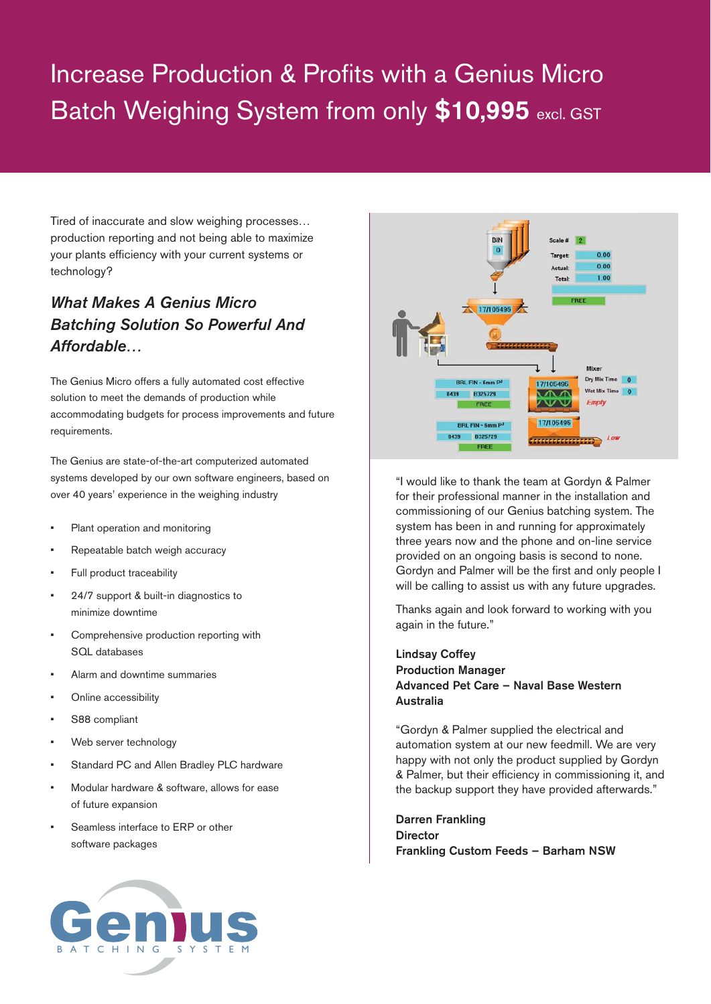## Increase Production & Profits with a Genius Micro Batch Weighing System from only \$10,995 excl. GST

Tired of inaccurate and slow weighing processes… production reporting and not being able to maximize your plants efficiency with your current systems or technology?

## *What Makes A Genius Micro Batching Solution So Powerful And Affordable…*

The Genius Micro offers a fully automated cost effective solution to meet the demands of production while accommodating budgets for process improvements and future requirements.

The Genius are state-of-the-art computerized automated systems developed by our own software engineers, based on over 40 years' experience in the weighing industry

- Plant operation and monitoring
- Repeatable batch weigh accuracy
- Full product traceability
- 24/7 support & built-in diagnostics to minimize downtime
- Comprehensive production reporting with SQL databases
- Alarm and downtime summaries
- Online accessibility
- S88 compliant
- Web server technology
- Standard PC and Allen Bradley PLC hardware
- Modular hardware & software, allows for ease of future expansion
- Seamless interface to ERP or other software packages





"I would like to thank the team at Gordyn & Palmer for their professional manner in the installation and commissioning of our Genius batching system. The system has been in and running for approximately three years now and the phone and on-line service provided on an ongoing basis is second to none. Gordyn and Palmer will be the first and only people I will be calling to assist us with any future upgrades.

Thanks again and look forward to working with you again in the future."

## Lindsay Coffey Production Manager Advanced Pet Care – Naval Base Western Australia

"Gordyn & Palmer supplied the electrical and automation system at our new feedmill. We are very happy with not only the product supplied by Gordyn & Palmer, but their efficiency in commissioning it, and the backup support they have provided afterwards."

Darren Frankling **Director** Frankling Custom Feeds – Barham NSW